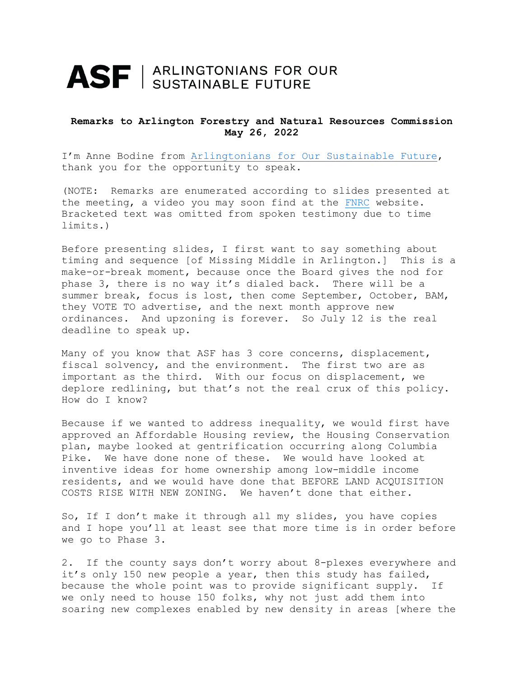## ASF | ARLINGTONIANS FOR OUR

## **Remarks to Arlington Forestry and Natural Resources Commission May 26, 2022**

I'm Anne Bodine from Arlingtonians for [Our Sustainable Future,](https://www.asf-virginia.org/missing-middle-housing) thank you for the opportunity to speak.

(NOTE: Remarks are enumerated according to slides presented at the meeting, a video you may soon find at the [FNRC](https://www.arlingtonva.us/Government/Commissions-and-Advisory-Groups/Forestry-and-Natural-Resources-Commission) website. Bracketed text was omitted from spoken testimony due to time limits.)

Before presenting slides, I first want to say something about timing and sequence [of Missing Middle in Arlington.] This is a make-or-break moment, because once the Board gives the nod for phase 3, there is no way it's dialed back. There will be a summer break, focus is lost, then come September, October, BAM, they VOTE TO advertise, and the next month approve new ordinances. And upzoning is forever. So July 12 is the real deadline to speak up.

Many of you know that ASF has 3 core concerns, displacement, fiscal solvency, and the environment. The first two are as important as the third. With our focus on displacement, we deplore redlining, but that's not the real crux of this policy. How do I know?

Because if we wanted to address inequality, we would first have approved an Affordable Housing review, the Housing Conservation plan, maybe looked at gentrification occurring along Columbia Pike. We have done none of these. We would have looked at inventive ideas for home ownership among low-middle income residents, and we would have done that BEFORE LAND ACQUISITION COSTS RISE WITH NEW ZONING. We haven't done that either.

So, If I don't make it through all my slides, you have copies and I hope you'll at least see that more time is in order before we go to Phase 3.

2. If the county says don't worry about 8-plexes everywhere and it's only 150 new people a year, then this study has failed, because the whole point was to provide significant supply. If we only need to house 150 folks, why not just add them into soaring new complexes enabled by new density in areas [where the